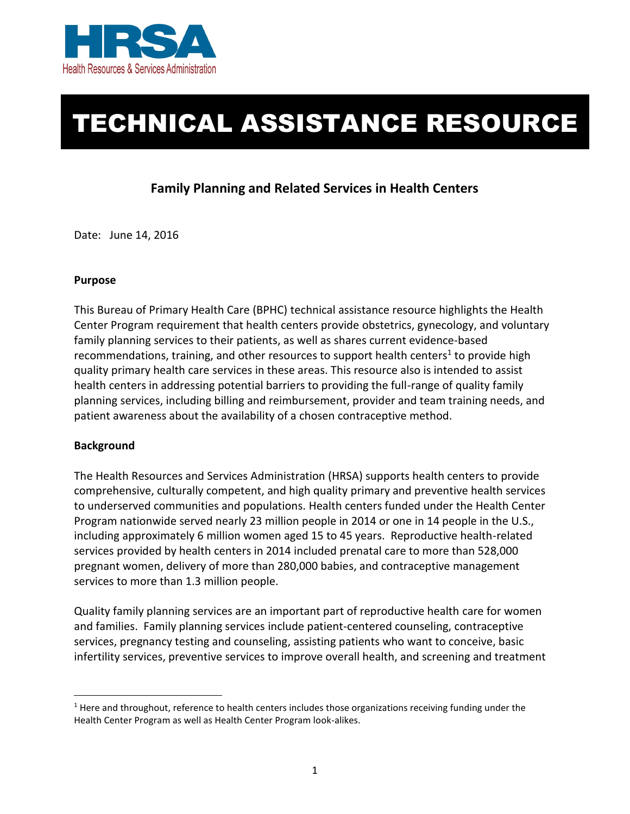

# TECHNICAL ASSISTANCE RESOURCE

## **Family Planning and Related Services in Health Centers**

Date: June 14, 2016

#### **Purpose**

 This Bureau of Primary Health Care (BPHC) technical assistance resource highlights the Health Center Program requirement that health centers provide obstetrics, gynecology, and voluntary family planning services to their patients, as well as shares current evidence-based recommendations, training, and other resources to support health centers<sup>1</sup> to provide high quality primary health care services in these areas. This resource also is intended to assist health centers in addressing potential barriers to providing the full-range of quality family planning services, including billing and reimbursement, provider and team training needs, and patient awareness about the availability of a chosen contraceptive method.

#### **Background**

 $\overline{\phantom{a}}$ 

 The Health Resources and Services Administration (HRSA) supports health centers to provide comprehensive, culturally competent, and high quality primary and preventive health services to underserved communities and populations. Health centers funded under the Health Center Program nationwide served nearly 23 million people in 2014 or one in 14 people in the U.S., including approximately 6 million women aged 15 to 45 years. Reproductive health-related services provided by health centers in 2014 included prenatal care to more than 528,000 pregnant women, delivery of more than 280,000 babies, and contraceptive management services to more than 1.3 million people.

 Quality family planning services are an important part of reproductive health care for women and families. Family planning services include patient-centered counseling, contraceptive services, pregnancy testing and counseling, assisting patients who want to conceive, basic infertility services, preventive services to improve overall health, and screening and treatment

 $<sup>1</sup>$  Here and throughout, reference to health centers includes those organizations receiving funding under the</sup> Health Center Program as well as Health Center Program look-alikes.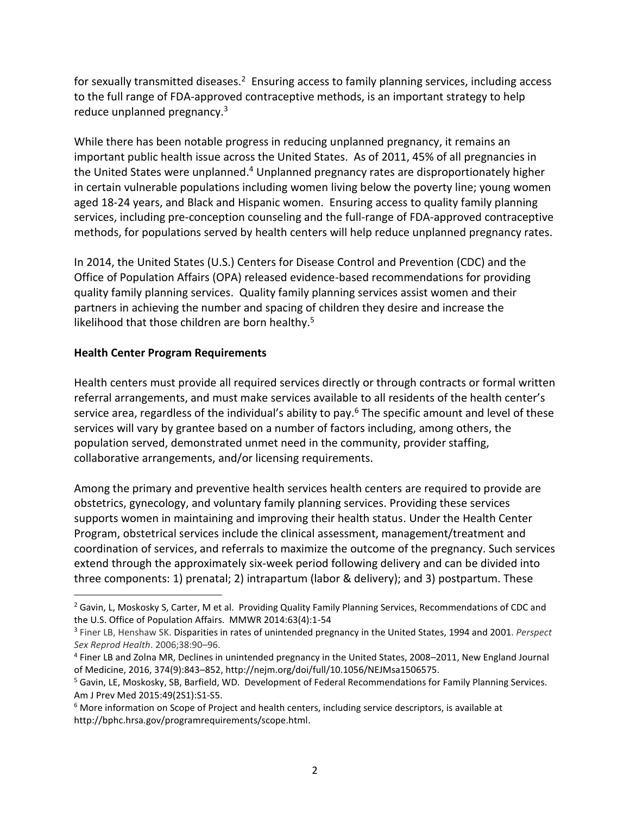for sexually transmitted diseases.<sup>2</sup> Ensuring access to family planning services, including access to the full range of FDA-approved contraceptive methods, is an important strategy to help reduce unplanned pregnancy.<sup>3</sup>

 While there has been notable progress in reducing unplanned pregnancy, it remains an important public health issue across the United States. As of 2011, 45% of all pregnancies in the United States were unplanned.<sup>4</sup> Unplanned pregnancy rates are disproportionately higher in certain vulnerable populations including women living below the poverty line; young women aged 18-24 years, and Black and Hispanic women. Ensuring access to quality family planning services, including pre-conception counseling and the full-range of FDA-approved contraceptive methods, for populations served by health centers will help reduce unplanned pregnancy rates.

 In 2014, the United States (U.S.) Centers for Disease Control and Prevention (CDC) and the quality family planning services. Quality family planning services assist women and their partners in achieving the number and spacing of children they desire and increase the likelihood that those children are born healthy.<sup>5</sup> Office of Population Affairs (OPA) released evidence-based recommendations for providing

#### **Health Center Program Requirements**

 $\overline{\phantom{a}}$ 

 Health centers must provide all required services directly or through contracts or formal written referral arrangements, and must make services available to all residents of the health center's service area, regardless of the individual's ability to pay.<sup>6</sup> The specific amount and level of these services will vary by grantee based on a number of factors including, among others, the population served, demonstrated unmet need in the community, provider staffing, collaborative arrangements, and/or licensing requirements.

 Among the primary and preventive health services health centers are required to provide are obstetrics, gynecology, and voluntary family planning services. Providing these services supports women in maintaining and improving their health status. Under the Health Center Program, obstetrical services include the clinical assessment, management/treatment and coordination of services, and referrals to maximize the outcome of the pregnancy. Such services extend through the approximately six-week period following delivery and can be divided into three components: 1) prenatal; 2) intrapartum (labor & delivery); and 3) postpartum. These

<sup>&</sup>lt;sup>2</sup> Gavin, L, Moskosky S, Carter, M et al. Providing Quality Family Planning Services, Recommendations of CDC and the U.S. Office of Population Affairs. MMWR 2014:63(4):1-54

<sup>3</sup> Finer LB, Henshaw SK. Disparities in rates of unintended pregnancy in the United States, 1994 and 2001. *Perspect Sex Reprod Health*. 2006;38:90–96.

<sup>4</sup> Finer LB and Zolna MR, Declines in unintended pregnancy in the United States, 2008–2011, New England Journal of Medicine, 2016, 374(9):843–852[, http://nejm.org/doi/full/10.1056/NEJMsa1506575.](http://nejm.org/doi/full/10.1056/NEJMsa1506575)

 Am J Prev Med 2015:49(2S1):S1-S5. 5 Gavin, LE, Moskosky, SB, Barfield, WD. Development of Federal Recommendations for Family Planning Services.

 $6$  More information on Scope of Project and health centers, including service descriptors, is available at http://bphc.hrsa.gov/programrequirements/scope.html.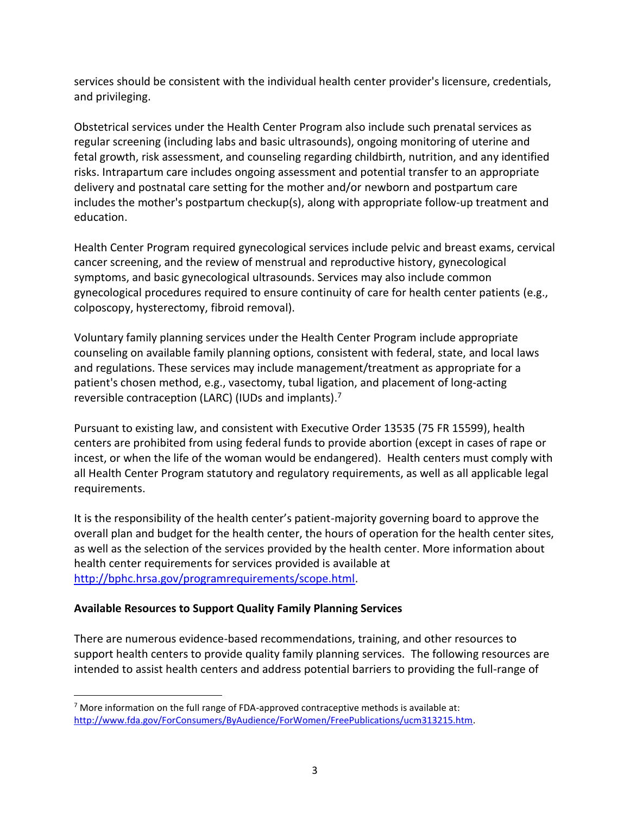services should be consistent with the individual health center provider's licensure, credentials, and privileging.

 Obstetrical services under the Health Center Program also include such prenatal services as regular screening (including labs and basic ultrasounds), ongoing monitoring of uterine and fetal growth, risk assessment, and counseling regarding childbirth, nutrition, and any identified risks. Intrapartum care includes ongoing assessment and potential transfer to an appropriate delivery and postnatal care setting for the mother and/or newborn and postpartum care includes the mother's postpartum checkup(s), along with appropriate follow-up treatment and education.

 Health Center Program required gynecological services include pelvic and breast exams, cervical cancer screening, and the review of menstrual and reproductive history, gynecological symptoms, and basic gynecological ultrasounds. Services may also include common gynecological procedures required to ensure continuity of care for health center patients (e.g., colposcopy, hysterectomy, fibroid removal).

 Voluntary family planning services under the Health Center Program include appropriate counseling on available family planning options, consistent with federal, state, and local laws and regulations. These services may include management/treatment as appropriate for a patient's chosen method, e.g., vasectomy, tubal ligation, and placement of long-acting reversible contraception (LARC) (IUDs and implants).<sup>7</sup>

 Pursuant to existing law, and consistent with Executive Order 13535 (75 FR 15599), health centers are prohibited from using federal funds to provide abortion (except in cases of rape or incest, or when the life of the woman would be endangered). Health centers must comply with all Health Center Program statutory and regulatory requirements, as well as all applicable legal requirements.

 It is the responsibility of the health center's patient-majority governing board to approve the overall plan and budget for the health center, the hours of operation for the health center sites, as well as the selection of the services provided by the health center. More information about health center requirements for services provided is available at [http://bphc.hrsa.gov/programrequirements/scope.html.](http://bphc.hrsa.gov/programrequirements/scope.html)

#### **Available Resources to Support Quality Family Planning Services**

 There are numerous evidence-based recommendations, training, and other resources to support health centers to provide quality family planning services. The following resources are intended to assist health centers and address potential barriers to providing the full-range of

 $\overline{\phantom{a}}$  $7$  More information on the full range of FDA-approved contraceptive methods is available at: [http://www.fda.gov/ForConsumers/ByAudience/ForWomen/FreePublications/ucm313215.htm.](http://www.fda.gov/ForConsumers/ByAudience/ForWomen/FreePublications/ucm313215.htm)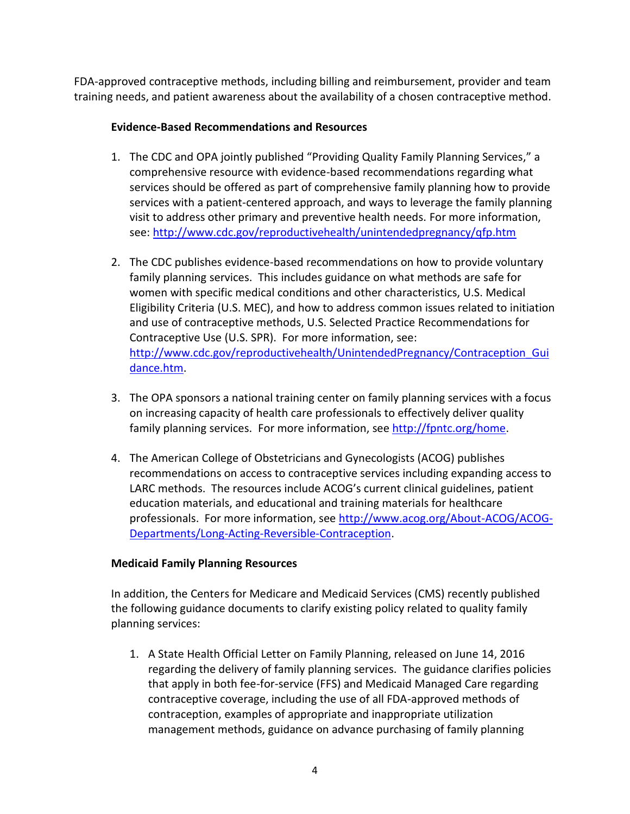FDA-approved contraceptive methods, including billing and reimbursement, provider and team training needs, and patient awareness about the availability of a chosen contraceptive method.

#### **Evidence-Based Recommendations and Resources**

- 1. The CDC and OPA jointly published "Providing Quality Family Planning Services," a comprehensive resource with evidence-based recommendations regarding what services should be offered as part of comprehensive family planning how to provide services with a patient-centered approach, and ways to leverage the family planning visit to address other primary and preventive health needs. For more information, see: http://www.cdc.gov/reproductivehealth/unintendedpregnancy/qfp.htm
- family planning services. This includes guidance on what methods are safe for women with specific medical conditions and other characteristics, U.S. Medical and use of contraceptive methods, U.S. Selected Practice Recommendations for 2. The CDC publishes evidence-based recommendations on how to provide voluntary Eligibility Criteria (U.S. MEC), and how to address common issues related to initiation Contraceptive Use (U.S. SPR). For more information, see: [http://www.cdc.gov/reproductivehealth/UnintendedPregnancy/Contraception\\_Gui](http://www.cdc.gov/reproductivehealth/UnintendedPregnancy/Contraception_Guidance.htm)  [dance.htm.](http://www.cdc.gov/reproductivehealth/UnintendedPregnancy/Contraception_Guidance.htm)
- 3. The OPA sponsors a national training center on family planning services with a focus on increasing capacity of health care professionals to effectively deliver quality family planning services. For more information, see [http://fpntc.org/home.](http://fpntc.org/home)
- 4. The American College of Obstetricians and Gynecologists (ACOG) publishes LARC methods. The resources include ACOG's current clinical guidelines, patient education materials, and educational and training materials for healthcare professionals. For more information, see [http://www.acog.org/About-ACOG/ACOG](http://www.acog.org/About-ACOG/ACOG-Departments/Long-Acting-Reversible-Contraception)recommendations on access to contraceptive services including expanding access to [Departments/Long-Acting-Reversible-Contraception.](http://www.acog.org/About-ACOG/ACOG-Departments/Long-Acting-Reversible-Contraception)

### **Medicaid Family Planning Resources**

 In addition, the Centers for Medicare and Medicaid Services (CMS) recently published the following guidance documents to clarify existing policy related to quality family planning services:

1. A State Health Official Letter on Family Planning, released on June 14, 2016 regarding the delivery of family planning services. The guidance clarifies policies that apply in both fee-for-service (FFS) and Medicaid Managed Care regarding contraceptive coverage, including the use of all FDA-approved methods of contraception, examples of appropriate and inappropriate utilization management methods, guidance on advance purchasing of family planning